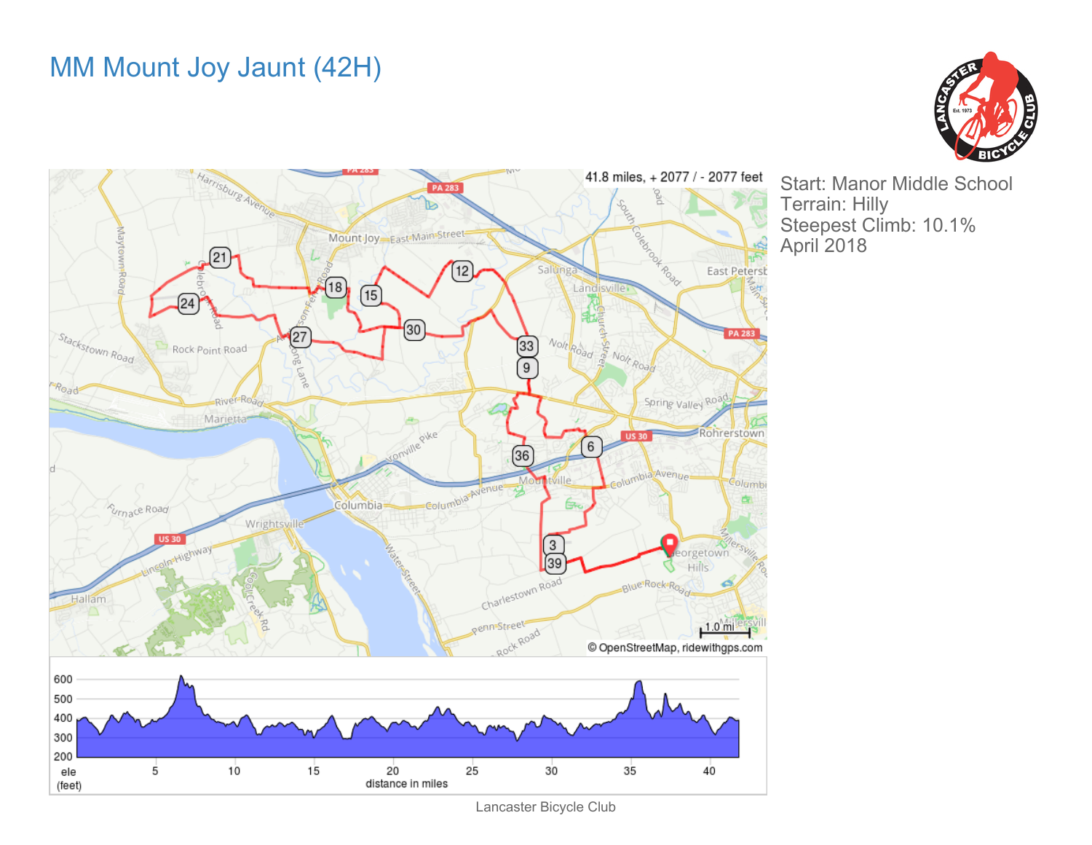## MM Mount Joy Jaunt (42H)





Start: Manor Middle School Terrain: Hilly Steepest Climb: 10.1% April 2018

Lancaster Bicycle Club